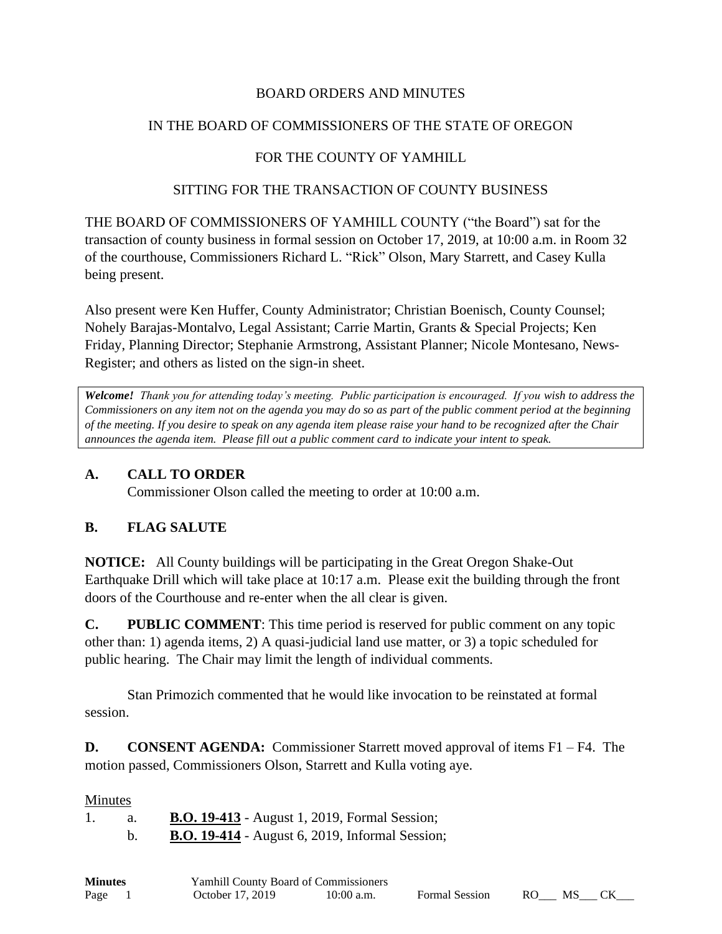### BOARD ORDERS AND MINUTES

# IN THE BOARD OF COMMISSIONERS OF THE STATE OF OREGON

# FOR THE COUNTY OF YAMHILL

### SITTING FOR THE TRANSACTION OF COUNTY BUSINESS

THE BOARD OF COMMISSIONERS OF YAMHILL COUNTY ("the Board") sat for the transaction of county business in formal session on October 17, 2019, at 10:00 a.m. in Room 32 of the courthouse, Commissioners Richard L. "Rick" Olson, Mary Starrett, and Casey Kulla being present.

Also present were Ken Huffer, County Administrator; Christian Boenisch, County Counsel; Nohely Barajas-Montalvo, Legal Assistant; Carrie Martin, Grants & Special Projects; Ken Friday, Planning Director; Stephanie Armstrong, Assistant Planner; Nicole Montesano, News-Register; and others as listed on the sign-in sheet.

*Welcome! Thank you for attending today's meeting. Public participation is encouraged. If you wish to address the Commissioners on any item not on the agenda you may do so as part of the public comment period at the beginning of the meeting. If you desire to speak on any agenda item please raise your hand to be recognized after the Chair announces the agenda item. Please fill out a public comment card to indicate your intent to speak.*

# **A. CALL TO ORDER**

Commissioner Olson called the meeting to order at 10:00 a.m.

# **B. FLAG SALUTE**

**NOTICE:** All County buildings will be participating in the Great Oregon Shake-Out Earthquake Drill which will take place at 10:17 a.m. Please exit the building through the front doors of the Courthouse and re-enter when the all clear is given.

**C. PUBLIC COMMENT**: This time period is reserved for public comment on any topic other than: 1) agenda items, 2) A quasi-judicial land use matter, or 3) a topic scheduled for public hearing. The Chair may limit the length of individual comments.

Stan Primozich commented that he would like invocation to be reinstated at formal session.

**D. CONSENT AGENDA:** Commissioner Starrett moved approval of items F1 – F4. The motion passed, Commissioners Olson, Starrett and Kulla voting aye.

#### Minutes

|  | <b>B.O. 19-413</b> - August 1, 2019, Formal Session;   |  |  |  |
|--|--------------------------------------------------------|--|--|--|
|  | <b>B.O. 19-414</b> - August 6, 2019, Informal Session; |  |  |  |

| <b>Minutes</b> | <b>Yamhill County Board of Commissioners</b> |              |                       |      |     |  |
|----------------|----------------------------------------------|--------------|-----------------------|------|-----|--|
| Page           | October 17, 2019                             | $10:00$ a.m. | <b>Formal Session</b> | RO — | MS. |  |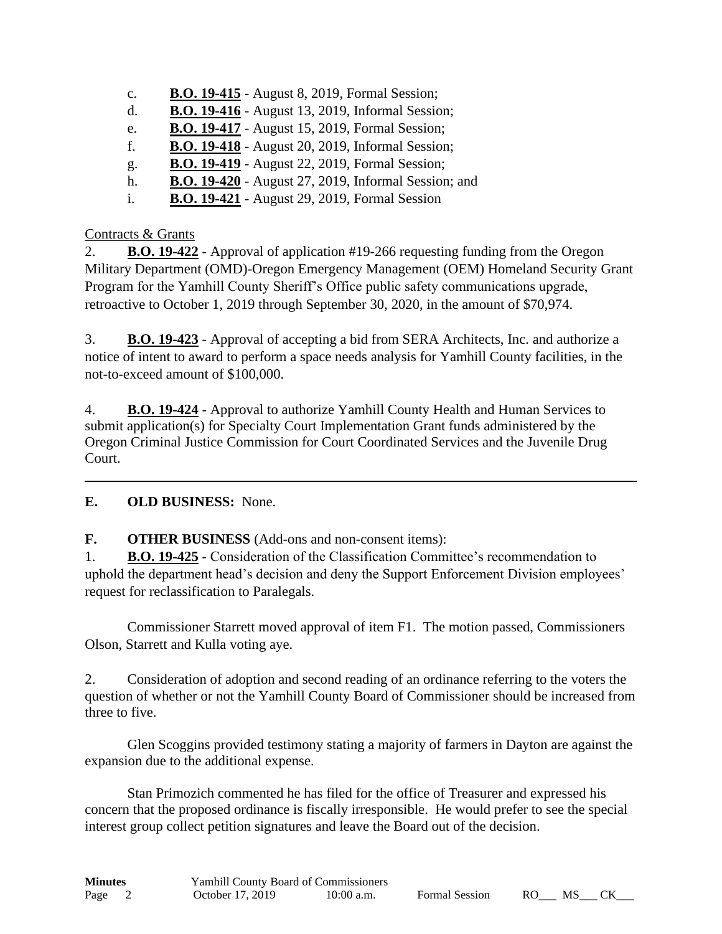- c. **B.O. 19-415** August 8, 2019, Formal Session;
- d. **B.O. 19-416** August 13, 2019, Informal Session;
- e. **B.O. 19-417** August 15, 2019, Formal Session;
- f. **B.O. 19-418** August 20, 2019, Informal Session;
- g. **B.O. 19-419** August 22, 2019, Formal Session;
- h. **B.O. 19-420** August 27, 2019, Informal Session; and
- i. **B.O. 19-421** August 29, 2019, Formal Session

# Contracts & Grants

2. **B.O. 19-422** - Approval of application #19-266 requesting funding from the Oregon Military Department (OMD)-Oregon Emergency Management (OEM) Homeland Security Grant Program for the Yamhill County Sheriff's Office public safety communications upgrade, retroactive to October 1, 2019 through September 30, 2020, in the amount of \$70,974.

3. **B.O. 19-423** - Approval of accepting a bid from SERA Architects, Inc. and authorize a notice of intent to award to perform a space needs analysis for Yamhill County facilities, in the not-to-exceed amount of \$100,000.

4. **B.O. 19-424** - Approval to authorize Yamhill County Health and Human Services to submit application(s) for Specialty Court Implementation Grant funds administered by the Oregon Criminal Justice Commission for Court Coordinated Services and the Juvenile Drug Court.

# **E. OLD BUSINESS:** None.

**F. OTHER BUSINESS** (Add-ons and non-consent items):

1. **B.O. 19-425** - Consideration of the Classification Committee's recommendation to uphold the department head's decision and deny the Support Enforcement Division employees' request for reclassification to Paralegals.

Commissioner Starrett moved approval of item F1. The motion passed, Commissioners Olson, Starrett and Kulla voting aye.

2. Consideration of adoption and second reading of an ordinance referring to the voters the question of whether or not the Yamhill County Board of Commissioner should be increased from three to five.

Glen Scoggins provided testimony stating a majority of farmers in Dayton are against the expansion due to the additional expense.

Stan Primozich commented he has filed for the office of Treasurer and expressed his concern that the proposed ordinance is fiscally irresponsible. He would prefer to see the special interest group collect petition signatures and leave the Board out of the decision.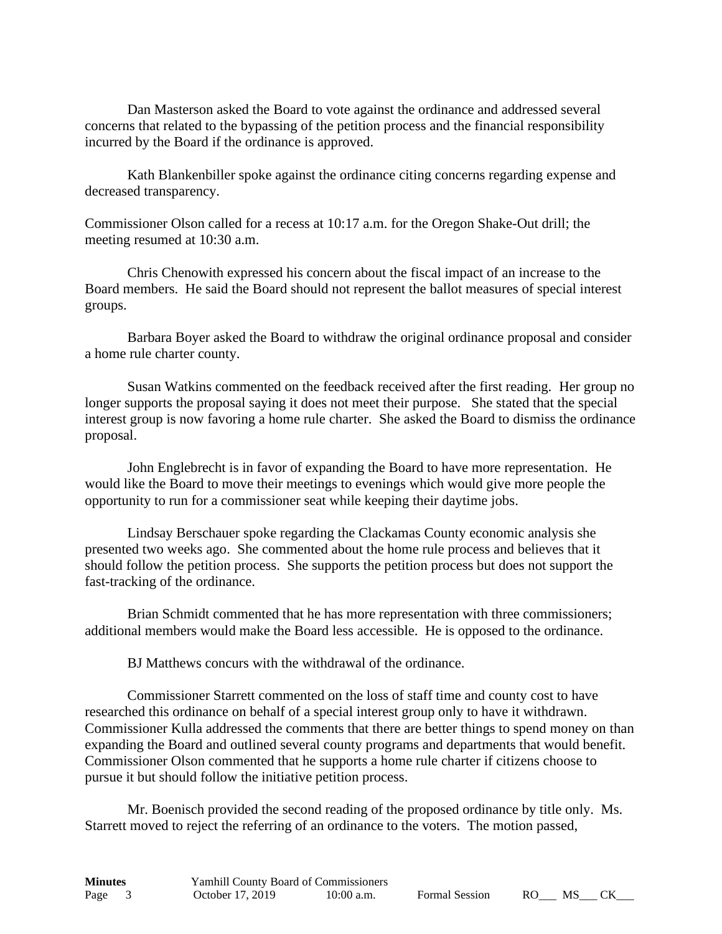Dan Masterson asked the Board to vote against the ordinance and addressed several concerns that related to the bypassing of the petition process and the financial responsibility incurred by the Board if the ordinance is approved.

Kath Blankenbiller spoke against the ordinance citing concerns regarding expense and decreased transparency.

Commissioner Olson called for a recess at 10:17 a.m. for the Oregon Shake-Out drill; the meeting resumed at 10:30 a.m.

Chris Chenowith expressed his concern about the fiscal impact of an increase to the Board members. He said the Board should not represent the ballot measures of special interest groups.

Barbara Boyer asked the Board to withdraw the original ordinance proposal and consider a home rule charter county.

Susan Watkins commented on the feedback received after the first reading. Her group no longer supports the proposal saying it does not meet their purpose. She stated that the special interest group is now favoring a home rule charter. She asked the Board to dismiss the ordinance proposal.

John Englebrecht is in favor of expanding the Board to have more representation. He would like the Board to move their meetings to evenings which would give more people the opportunity to run for a commissioner seat while keeping their daytime jobs.

Lindsay Berschauer spoke regarding the Clackamas County economic analysis she presented two weeks ago. She commented about the home rule process and believes that it should follow the petition process. She supports the petition process but does not support the fast-tracking of the ordinance.

Brian Schmidt commented that he has more representation with three commissioners; additional members would make the Board less accessible. He is opposed to the ordinance.

BJ Matthews concurs with the withdrawal of the ordinance.

Commissioner Starrett commented on the loss of staff time and county cost to have researched this ordinance on behalf of a special interest group only to have it withdrawn. Commissioner Kulla addressed the comments that there are better things to spend money on than expanding the Board and outlined several county programs and departments that would benefit. Commissioner Olson commented that he supports a home rule charter if citizens choose to pursue it but should follow the initiative petition process.

Mr. Boenisch provided the second reading of the proposed ordinance by title only. Ms. Starrett moved to reject the referring of an ordinance to the voters. The motion passed,

| <b>Minutes</b> |  | <b>Yamhill County Board of Commissioners</b> |              |                       |     |      |  |  |
|----------------|--|----------------------------------------------|--------------|-----------------------|-----|------|--|--|
| Page 3         |  | October 17, 2019                             | $10:00$ a.m. | <b>Formal Session</b> | RO. | - MS |  |  |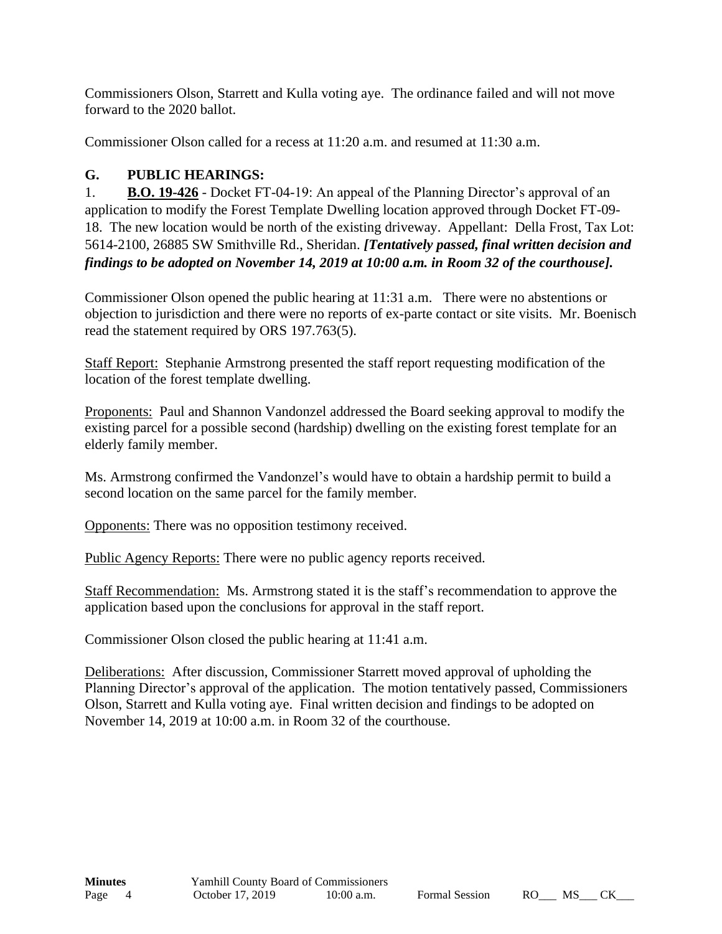Commissioners Olson, Starrett and Kulla voting aye. The ordinance failed and will not move forward to the 2020 ballot.

Commissioner Olson called for a recess at 11:20 a.m. and resumed at 11:30 a.m.

# **G. PUBLIC HEARINGS:**

1. **B.O. 19-426** - Docket FT-04-19: An appeal of the Planning Director's approval of an application to modify the Forest Template Dwelling location approved through Docket FT-09- 18. The new location would be north of the existing driveway. Appellant: Della Frost, Tax Lot: 5614-2100, 26885 SW Smithville Rd., Sheridan. *[Tentatively passed, final written decision and findings to be adopted on November 14, 2019 at 10:00 a.m. in Room 32 of the courthouse].* 

Commissioner Olson opened the public hearing at 11:31 a.m. There were no abstentions or objection to jurisdiction and there were no reports of ex-parte contact or site visits. Mr. Boenisch read the statement required by ORS 197.763(5).

Staff Report: Stephanie Armstrong presented the staff report requesting modification of the location of the forest template dwelling.

Proponents: Paul and Shannon Vandonzel addressed the Board seeking approval to modify the existing parcel for a possible second (hardship) dwelling on the existing forest template for an elderly family member.

Ms. Armstrong confirmed the Vandonzel's would have to obtain a hardship permit to build a second location on the same parcel for the family member.

Opponents: There was no opposition testimony received.

Public Agency Reports: There were no public agency reports received.

Staff Recommendation: Ms. Armstrong stated it is the staff's recommendation to approve the application based upon the conclusions for approval in the staff report.

Commissioner Olson closed the public hearing at 11:41 a.m.

Deliberations: After discussion, Commissioner Starrett moved approval of upholding the Planning Director's approval of the application. The motion tentatively passed, Commissioners Olson, Starrett and Kulla voting aye. Final written decision and findings to be adopted on November 14, 2019 at 10:00 a.m. in Room 32 of the courthouse.